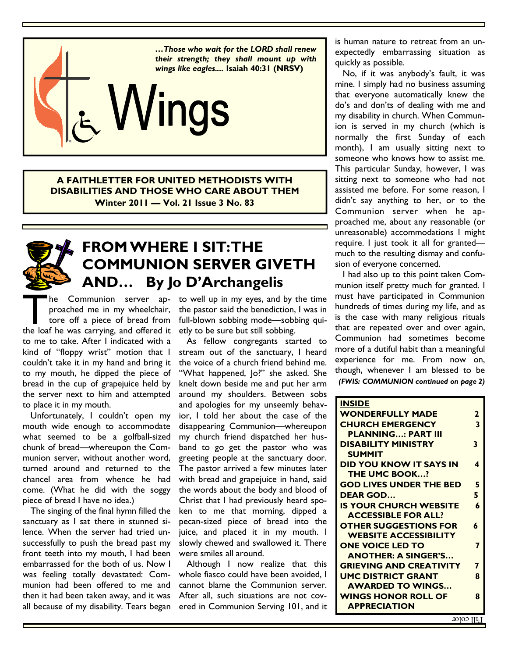

**A FAITHLETTER FOR UNITED METHODISTS WITH DISABILITIES AND THOSE WHO CARE ABOUT THEM Winter 2011 — Vol. 21 Issue 3 No. 83** 



## **FROM WHERE I SIT: THE COMMUNION SERVER GIVETH AND… By Jo D'Archangelis**

The Communion server approached me in my wheelchair,<br>tore off a piece of bread from<br>the loaf he was carrying, and offered it proached me in my wheelchair, tore off a piece of bread from to me to take. After I indicated with a kind of "floppy wrist" motion that I couldn't take it in my hand and bring it to my mouth, he dipped the piece of bread in the cup of grapejuice held by the server next to him and attempted to place it in my mouth.

 Unfortunately, I couldn't open my mouth wide enough to accommodate what seemed to be a golfball-sized chunk of bread—whereupon the Communion server, without another word, turned around and returned to the chancel area from whence he had come. (What he did with the soggy piece of bread I have no idea.)

 The singing of the final hymn filled the sanctuary as I sat there in stunned silence. When the server had tried unsuccessfully to push the bread past my front teeth into my mouth, I had been embarrassed for the both of us. Now I was feeling totally devastated: Communion had been offered to me and then it had been taken away, and it was all because of my disability. Tears began to well up in my eyes, and by the time the pastor said the benediction, I was in full-blown sobbing mode—sobbing quietly to be sure but still sobbing.

 As fellow congregants started to stream out of the sanctuary, I heard the voice of a church friend behind me. "What happened, Jo?" she asked. She knelt down beside me and put her arm around my shoulders. Between sobs and apologies for my unseemly behavior, I told her about the case of the disappearing Communion—whereupon my church friend dispatched her husband to go get the pastor who was greeting people at the sanctuary door. The pastor arrived a few minutes later with bread and grapejuice in hand, said the words about the body and blood of Christ that I had previously heard spoken to me that morning, dipped a pecan-sized piece of bread into the juice, and placed it in my mouth. I slowly chewed and swallowed it. There were smiles all around.

 Although I now realize that this whole fiasco could have been avoided, I cannot blame the Communion server. After all, such situations are not covered in Communion Serving 101, and it

is human nature to retreat from an unexpectedly embarrassing situation as quickly as possible.

 No, if it was anybody's fault, it was mine. I simply had no business assuming that everyone automatically knew the do's and don'ts of dealing with me and my disability in church. When Communion is served in my church (which is normally the first Sunday of each month), I am usually sitting next to someone who knows how to assist me. This particular Sunday, however, I was sitting next to someone who had not assisted me before. For some reason, I didn't say anything to her, or to the Communion server when he approached me, about any reasonable (or unreasonable) accommodations I might require. I just took it all for granted much to the resulting dismay and confusion of everyone concerned.

 I had also up to this point taken Communion itself pretty much for granted. I must have participated in Communion hundreds of times during my life, and as is the case with many religious rituals that are repeated over and over again, Communion had sometimes become more of a dutiful habit than a meaningful experience for me. From now on, though, whenever I am blessed to be *(FWIS: COMMUNION continued on page 2)* 

| <b>INSIDE</b>                  |              |
|--------------------------------|--------------|
| <b>WONDERFULLY MADE</b>        | $\mathbf{z}$ |
| <b>CHURCH EMERGENCY</b>        | 3            |
| <b>PLANNING: PART III</b>      |              |
| <b>DISABILITY MINISTRY</b>     | 3            |
| <b>SUMMIT</b>                  |              |
| <b>DID YOU KNOW IT SAYS IN</b> | 4            |
| <b>THE UMC BOOK?</b>           |              |
| <b>GOD LIVES UNDER THE BED</b> | 5            |
| <b>DEAR GOD</b>                | 5            |
| IS YOUR CHURCH WEBSITE         | 6            |
| <b>ACCESSIBLE FOR ALL?</b>     |              |
| OTHER SUGGESTIONS FOR          | 6            |
| <b>WEBSITE ACCESSIBILITY</b>   |              |
| <b>ONE VOICE LED TO</b>        | 7            |
| <b>ANOTHER: A SINGER'S</b>     |              |
| <b>GRIEVING AND CREATIVITY</b> | 7            |
| <b>UMC DISTRICT GRANT</b>      | 8            |
| <b>AWARDED TO WINGS</b>        |              |
| <b>WINGS HONOR ROLL OF</b>     | 8            |
| <b>APPRECIATION</b>            |              |
| <b>HIII COIOT</b>              |              |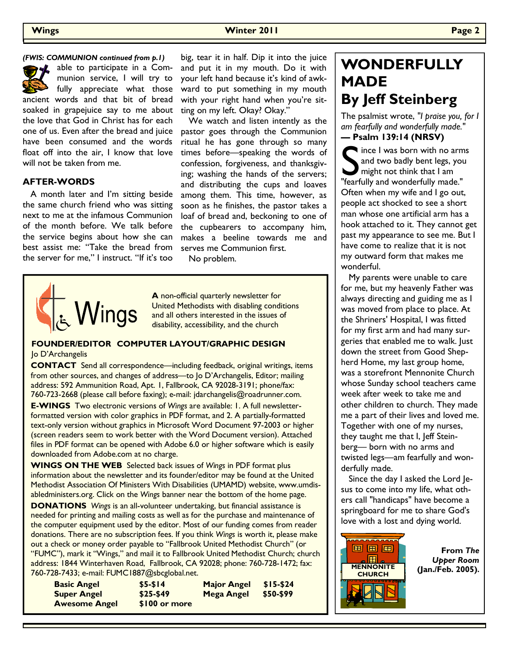able to participate in a Communion service, I will try to fully appreciate what those ancient words and that bit of bread soaked in grapejuice say to me about the love that God in Christ has for each one of us. Even after the bread and juice have been consumed and the words float off into the air, I know that love will not be taken from me.

#### **AFTER-WORDS**

 A month later and I'm sitting beside the same church friend who was sitting next to me at the infamous Communion of the month before. We talk before the service begins about how she can best assist me: "Take the bread from the server for me," I instruct. "If it's too

*(FWIS: COMMUNION continued from p.1)* big, tear it in half. Dip it into the juice and put it in my mouth. Do it with your left hand because it's kind of awkward to put something in my mouth with your right hand when you're sitting on my left. Okay? Okay."

> We watch and listen intently as the pastor goes through the Communion ritual he has gone through so many times before—speaking the words of confession, forgiveness, and thanksgiving; washing the hands of the servers; and distributing the cups and loaves among them. This time, however, as soon as he finishes, the pastor takes a loaf of bread and, beckoning to one of the cupbearers to accompany him, makes a beeline towards me and serves me Communion first.

No problem.



**A** non-official quarterly newsletter for United Methodists with disabling conditions and all others interested in the issues of disability, accessibility, and the church

#### **FOUNDER/EDITOR COMPUTER LAYOUT/GRAPHIC DESIGN**  Jo D'Archangelis

**CONTACT** Send all correspondence—including feedback, original writings, items from other sources, and changes of address—to Jo D'Archangelis, Editor; mailing address: 592 Ammunition Road, Apt. 1, Fallbrook, CA 92028-3191; phone/fax: 760-723-2668 (please call before faxing); e-mail: jdarchangelis@roadrunner.com.

**E-WINGS** Two electronic versions of *Wings* are available: 1. A full newsletterformatted version with color graphics in PDF format, and 2. A partially-formatted text-only version without graphics in Microsoft Word Document 97-2003 or higher (screen readers seem to work better with the Word Document version). Attached files in PDF format can be opened with Adobe 6.0 or higher software which is easily downloaded from Adobe.com at no charge.

**WINGS ON THE WEB** Selected back issues of *Wings* in PDF format plus information about the newsletter and its founder/editor may be found at the United Methodist Association Of Ministers With Disabilities (UMAMD) website, www.umdisabledministers.org. Click on the *Wings* banner near the bottom of the home page.

**DONATIONS** *Wings* is an all-volunteer undertaking, but financial assistance is needed for printing and mailing costs as well as for the purchase and maintenance of the computer equipment used by the editor. Most of our funding comes from reader donations. There are no subscription fees. If you think *Wings* is worth it, please make out a check or money order payable to "Fallbrook United Methodist Church" (or "FUMC"), mark it "Wings," and mail it to Fallbrook United Methodist Church; church address: 1844 Winterhaven Road, Fallbrook, CA 92028; phone: 760-728-1472; fax: 760-728-7433; e-mail: FUMC1887@sbcglobal.net.

| <b>Basic Angel</b>   | $$5-514$      | <b>Major Angel</b> | $$15-$24$ |
|----------------------|---------------|--------------------|-----------|
| <b>Super Angel</b>   | $$25-$49$     | <b>Mega Angel</b>  | \$50-\$99 |
| <b>Awesome Angel</b> | \$100 or more |                    |           |

## **WONDERFULLY MADE By Jeff Steinberg**

The psalmist wrote, *"I praise you, for I am fearfully and wonderfully made."*

**— Psalm 139:14 (NRSV)**

 $\blacksquare$  ince I was born with no arms and two badly bent legs, you might not think that I am "fearfully and wonderfully made." Often when my wife and I go out, people act shocked to see a short man whose one artificial arm has a hook attached to it. They cannot get past my appearance to see me. But I have come to realize that it is not my outward form that makes me wonderful.

 My parents were unable to care for me, but my heavenly Father was always directing and guiding me as I was moved from place to place. At the Shriners' Hospital, I was fitted for my first arm and had many surgeries that enabled me to walk. Just down the street from Good Shepherd Home, my last group home, was a storefront Mennonite Church whose Sunday school teachers came week after week to take me and other children to church. They made me a part of their lives and loved me. Together with one of my nurses, they taught me that I, Jeff Steinberg— born with no arms and twisted legs—am fearfully and wonderfully made.

 Since the day I asked the Lord Jesus to come into my life, what others call "handicaps" have become a springboard for me to share God's love with a lost and dying world.



**From** *The Upper Room* **(Jan./Feb. 2005).**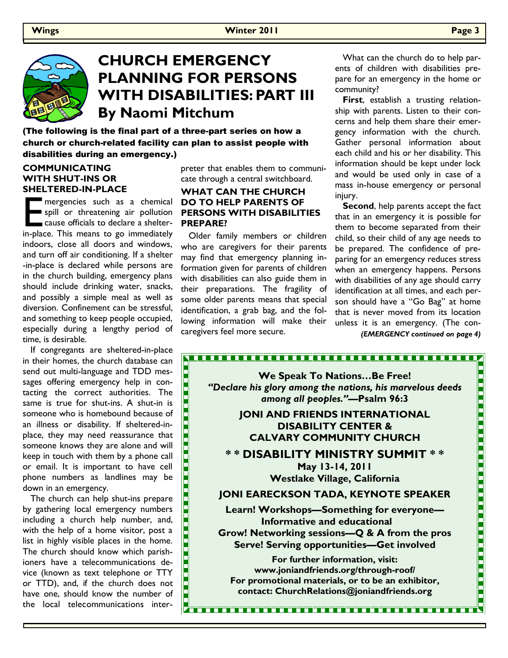

## **CHURCH EMERGENCY PLANNING FOR PERSONS WITH DISABILITIES: PART III By Naomi Mitchum**

(The following is the final part of a three-part series on how a church or church-related facility can plan to assist people with disabilities during an emergency.)

#### **COMMUNICATING WITH SHUT-INS OR SHELTERED-IN-PLACE**

mergencies such as a chemical<br>
spill or threatening air pollution<br>
cause officials to declare a shelter-<br>
in-place. This means to go immediately spill or threatening air pollution cause officials to declare a shelterindoors, close all doors and windows, and turn off air conditioning. If a shelter -in-place is declared while persons are in the church building, emergency plans should include drinking water, snacks, and possibly a simple meal as well as diversion. Confinement can be stressful, and something to keep people occupied, especially during a lengthy period of time, is desirable.

 If congregants are sheltered-in-place in their homes, the church database can send out multi-language and TDD messages offering emergency help in contacting the correct authorities. The same is true for shut-ins. A shut-in is someone who is homebound because of an illness or disability. If sheltered-inplace, they may need reassurance that someone knows they are alone and will keep in touch with them by a phone call or email. It is important to have cell phone numbers as landlines may be down in an emergency.

 The church can help shut-ins prepare by gathering local emergency numbers including a church help number, and, with the help of a home visitor, post a list in highly visible places in the home. The church should know which parishioners have a telecommunications device (known as text telephone or TTY or TTD), and, if the church does not have one, should know the number of the local telecommunications inter-

preter that enables them to communicate through a central switchboard.

#### **WHAT CAN THE CHURCH DO TO HELP PARENTS OF PERSONS WITH DISABILITIES PREPARE?**

 Older family members or children who are caregivers for their parents may find that emergency planning information given for parents of children with disabilities can also guide them in their preparations. The fragility of some older parents means that special identification, a grab bag, and the following information will make their caregivers feel more secure.

 What can the church do to help parents of children with disabilities prepare for an emergency in the home or community?

**First**, establish a trusting relationship with parents. Listen to their concerns and help them share their emergency information with the church. Gather personal information about each child and his or her disability. This information should be kept under lock and would be used only in case of a mass in-house emergency or personal injury.

**Second**, help parents accept the fact that in an emergency it is possible for them to become separated from their child, so their child of any age needs to be prepared. The confidence of preparing for an emergency reduces stress when an emergency happens. Persons with disabilities of any age should carry identification at all times, and each person should have a "Go Bag" at home that is never moved from its location unless it is an emergency. (The con- *(EMERGENCY continued on page 4)* 

,,,,,,,,,,,,,,,,,,,,,,,,,,,,,,,,,,, İ **We Speak To Nations…Be Free!**   $\blacksquare$ *"Declare his glory among the nations, his marvelous deeds among all peoples."***—Psalm 96:3 JONI AND FRIENDS INTERNATIONAL DISABILITY CENTER & CALVARY COMMUNITY CHURCH \* \* DISABILITY MINISTRY SUMMIT \* \* May 13-14, 2011 Westlake Village, California JONI EARECKSON TADA, KEYNOTE SPEAKER Learn! Workshops—Something for everyone— Informative and educational Grow! Networking sessions—Q & A from the pros Serve! Serving opportunities—Get involved**  -<br>-<br>-**For further information, visit: www.joniandfriends.org/through-roof/ For promotional materials, or to be an exhibitor, contact: ChurchRelations@joniandfriends.org** ------------------------------------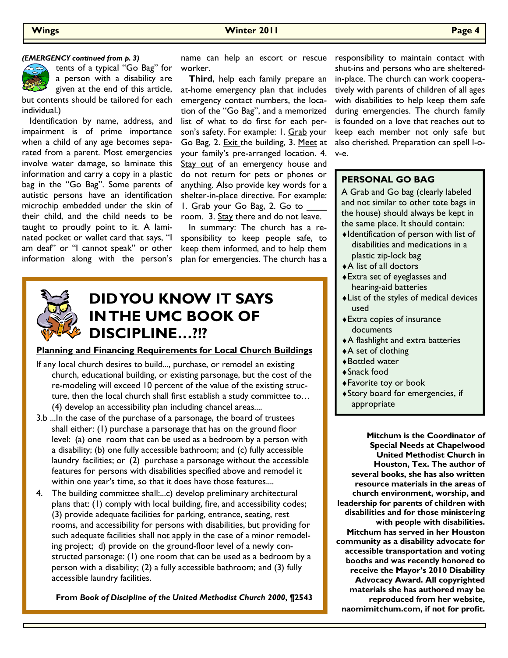

tents of a typical "Go Bag" for a person with a disability are given at the end of this article, but contents should be tailored for each

individual.) Identification by name, address, and impairment is of prime importance when a child of any age becomes separated from a parent. Most emergencies involve water damage, so laminate this information and carry a copy in a plastic bag in the "Go Bag". Some parents of autistic persons have an identification microchip embedded under the skin of their child, and the child needs to be taught to proudly point to it. A laminated pocket or wallet card that says, "I am deaf" or "I cannot speak" or other information along with the person's

worker.

 **Third**, help each family prepare an at-home emergency plan that includes emergency contact numbers, the location of the "Go Bag", and a memorized list of what to do first for each person's safety. For example: 1. Grab your Go Bag, 2. Exit the building, 3. Meet at your family's pre-arranged location. 4. Stay out of an emergency house and do not return for pets or phones or anything. Also provide key words for a shelter-in-place directive. For example: 1. Grab your Go Bag, 2. Go to room. 3. Stay there and do not leave.

 In summary: The church has a responsibility to keep people safe, to keep them informed, and to help them plan for emergencies. The church has a



### **DID YOU KNOW IT SAYS IN THE UMC BOOK OF DISCIPLINE…?!?**

#### **Planning and Financing Requirements for Local Church Buildings**

- If any local church desires to build..., purchase, or remodel an existing church, educational building, or existing parsonage, but the cost of the re-modeling will exceed 10 percent of the value of the existing struc ture, then the local church shall first establish a study committee to… (4) develop an accessibility plan including chancel areas....
- 3.b ...In the case of the purchase of a parsonage, the board of trustees shall either: (1) purchase a parsonage that has on the ground floor level: (a) one room that can be used as a bedroom by a person with a disability; (b) one fully accessible bathroom; and (c) fully accessible laundry facilities; or (2) purchase a parsonage without the accessible features for persons with disabilities specified above and remodel it within one year's time, so that it does have those features....
- 4. The building committee shall:...c) develop preliminary architectural plans that: (1) comply with local building, fire, and accessibility codes; (3) provide adequate facilities for parking, entrance, seating, rest rooms, and accessibility for persons with disabilities, but providing for such adequate facilities shall not apply in the case of a minor remodel ing project; d) provide on the ground-floor level of a newly con structed parsonage: (1) one room that can be used as a bedroom by a person with a disability; (2) a fully accessible bathroom; and (3) fully accessible laundry facilities.

**From** *Book of Discipline of the United Methodist Church 2000***, ¶2543**

*(EMERGENCY continued from p. 3)* name can help an escort or rescue responsibility to maintain contact with shut-ins and persons who are shelteredin-place. The church can work cooperatively with parents of children of all ages with disabilities to help keep them safe during emergencies. The church family is founded on a love that reaches out to keep each member not only safe but also cherished. Preparation can spell l-ov-e.

### **PERSONAL GO BAG**

A Grab and Go bag (clearly labeled and not similar to other tote bags in the house) should always be kept in the same place. It should contain:

- ♦Identification of person with list of disabilities and medications in a plastic zip-lock bag
- ♦A list of all doctors
- ♦Extra set of eyeglasses and hearing-aid batteries
- ♦List of the styles of medical devices used
- ♦Extra copies of insurance documents
- ♦A flashlight and extra batteries
- ♦A set of clothing
- ♦Bottled water
- ♦Snack food
- ♦Favorite toy or book
- ♦Story board for emergencies, if appropriate

**Mitchum is the Coordinator of Special Needs at Chapelwood United Methodist Church in Houston, Tex. The author of several books, she has also written resource materials in the areas of church environment, worship, and leadership for parents of children with disabilities and for those ministering with people with disabilities. Mitchum has served in her Houston community as a disability advocate for accessible transportation and voting booths and was recently honored to receive the Mayor's 2010 Disability Advocacy Award. All copyrighted materials she has authored may be reproduced from her website, naomimitchum.com, if not for profit.**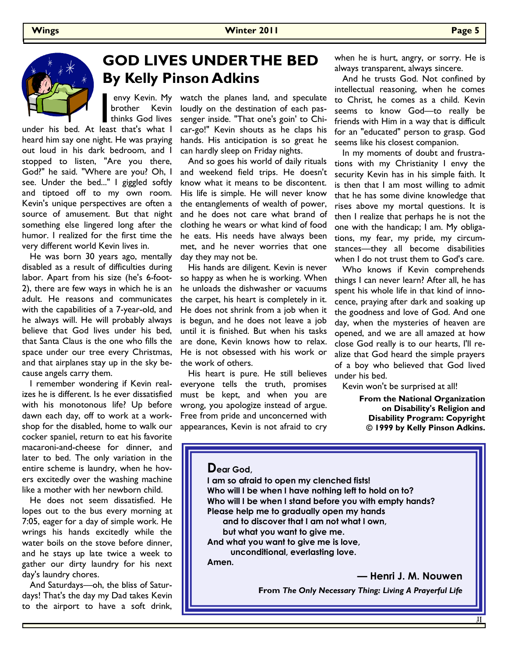

### **GOD LIVES UNDER THE BED By Kelly Pinson Adkins**

brother Kevin thinks God lives

heard him say one night. He was praying out loud in his dark bedroom, and I stopped to listen, "Are you there, God?" he said. "Where are you? Oh, I see. Under the bed..." I giggled softly and tiptoed off to my own room. Kevin's unique perspectives are often a source of amusement. But that night something else lingered long after the humor. I realized for the first time the very different world Kevin lives in.

 He was born 30 years ago, mentally disabled as a result of difficulties during labor. Apart from his size (he's 6-foot-2), there are few ways in which he is an adult. He reasons and communicates with the capabilities of a 7-year-old, and he always will. He will probably always believe that God lives under his bed, that Santa Claus is the one who fills the space under our tree every Christmas, and that airplanes stay up in the sky because angels carry them.

 I remember wondering if Kevin realizes he is different. Is he ever dissatisfied with his monotonous life? Up before dawn each day, off to work at a workshop for the disabled, home to walk our cocker spaniel, return to eat his favorite macaroni-and-cheese for dinner, and later to bed. The only variation in the entire scheme is laundry, when he hovers excitedly over the washing machine like a mother with her newborn child.

 He does not seem dissatisfied. He lopes out to the bus every morning at 7:05, eager for a day of simple work. He wrings his hands excitedly while the water boils on the stove before dinner, and he stays up late twice a week to gather our dirty laundry for his next day's laundry chores.

 And Saturdays—oh, the bliss of Saturdays! That's the day my Dad takes Kevin to the airport to have a soft drink,

watch the planes land, and speculate loudly on the destination of each passenger inside. "That one's goin' to Chicar-go!" Kevin shouts as he claps his hands. His anticipation is so great he can hardly sleep on Friday nights.

 And so goes his world of daily rituals and weekend field trips. He doesn't know what it means to be discontent. His life is simple. He will never know the entanglements of wealth of power, and he does not care what brand of clothing he wears or what kind of food he eats. His needs have always been met, and he never worries that one day they may not be.

 His hands are diligent. Kevin is never so happy as when he is working. When he unloads the dishwasher or vacuums the carpet, his heart is completely in it. He does not shrink from a job when it is begun, and he does not leave a job until it is finished. But when his tasks are done, Kevin knows how to relax. He is not obsessed with his work or the work of others.

 His heart is pure. He still believes everyone tells the truth, promises must be kept, and when you are wrong, you apologize instead of argue. Free from pride and unconcerned with appearances, Kevin is not afraid to cry

when he is hurt, angry, or sorry. He is always transparent, always sincere.

 And he trusts God. Not confined by intellectual reasoning, when he comes to Christ, he comes as a child. Kevin seems to know God—to really be friends with Him in a way that is difficult for an "educated" person to grasp. God seems like his closest companion.

 In my moments of doubt and frustrations with my Christianity I envy the security Kevin has in his simple faith. It is then that I am most willing to admit that he has some divine knowledge that rises above my mortal questions. It is then I realize that perhaps he is not the one with the handicap; I am. My obligations, my fear, my pride, my circumstances—they all become disabilities when I do not trust them to God's care.

 Who knows if Kevin comprehends things I can never learn? After all, he has spent his whole life in that kind of innocence, praying after dark and soaking up the goodness and love of God. And one day, when the mysteries of heaven are opened, and we are all amazed at how close God really is to our hearts, I'll realize that God heard the simple prayers of a boy who believed that God lived under his bed.

Kevin won't be surprised at all!

**From the National Organization on Disability's Religion and Disability Program: Copyright © 1999 by Kelly Pinson Adkins.** 

If

### **Dear God, I am so afraid to open my clenched fists! Who will I be when I have nothing left to hold on to? Who will I be when I stand before you with empty hands? Please help me to gradually open my hands and to discover that I am not what I own, but what you want to give me. And what you want to give me is love, unconditional, everlasting love. Amen. — Henri J. M. Nouwen From** *The Only Necessary Thing: Living A Prayerful Life*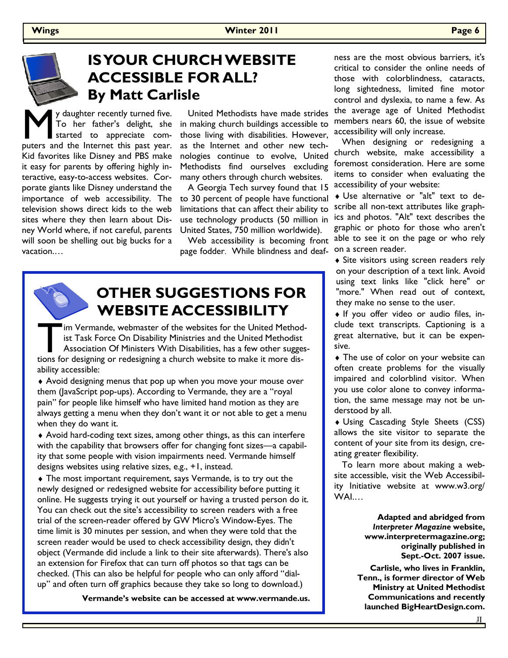### **IS YOUR CHURCH WEBSITE ACCESSIBLE FOR ALL? By Matt Carlisle**

**M** y daughter recently turned five.<br>To her father's delight, she started to appreciate computers and the Internet this past year. To her father's delight, she started to appreciate com-Kid favorites like Disney and PBS make it easy for parents by offering highly interactive, easy-to-access websites. Corporate giants like Disney understand the importance of web accessibility. The television shows direct kids to the web sites where they then learn about Disney World where, if not careful, parents will soon be shelling out big bucks for a vacation.…

 United Methodists have made strides in making church buildings accessible to those living with disabilities. However, as the Internet and other new technologies continue to evolve, United Methodists find ourselves excluding many others through church websites.

 A Georgia Tech survey found that 15 to 30 percent of people have functional limitations that can affect their ability to use technology products (50 million in United States, 750 million worldwide).

Web accessibility is becoming front page fodder. While blindness and deaf-

## **OTHER SUGGESTIONS FOR WEBSITE ACCESSIBILITY**

im Vermande, webmaster of the websites for the United Methodist<br>ist Task Force On Disability Ministries and the United Methodist<br>Association Of Ministers With Disabilities, has a few other sugges<br>tions for designing or red ist Task Force On Disability Ministries and the United Methodist Association Of Ministers With Disabilities, has a few other suggestions for designing or redesigning a church website to make it more disability accessible:

♦ Avoid designing menus that pop up when you move your mouse over them (JavaScript pop-ups). According to Vermande, they are a "royal pain" for people like himself who have limited hand motion as they are always getting a menu when they don't want it or not able to get a menu when they do want it.

♦ Avoid hard-coding text sizes, among other things, as this can interfere with the capability that browsers offer for changing font sizes—a capability that some people with vision impairments need. Vermande himself designs websites using relative sizes, e.g., +1, instead.

♦ The most important requirement, says Vermande, is to try out the newly designed or redesigned website for accessibility before putting it online. He suggests trying it out yourself or having a trusted person do it. You can check out the site's accessibility to screen readers with a free trial of the screen-reader offered by GW Micro's Window-Eyes. The time limit is 30 minutes per session, and when they were told that the screen reader would be used to check accessibility design, they didn't object (Vermande did include a link to their site afterwards). There's also an extension for Firefox that can turn off photos so that tags can be checked. (This can also be helpful for people who can only afford "dialup" and often turn off graphics because they take so long to download.)

**Vermande's website can be accessed at www.vermande.us.**

ness are the most obvious barriers, it's critical to consider the online needs of those with colorblindness, cataracts, long sightedness, limited fine motor control and dyslexia, to name a few. As the average age of United Methodist members nears 60, the issue of website accessibility will only increase.

 When designing or redesigning a church website, make accessibility a foremost consideration. Here are some items to consider when evaluating the accessibility of your website:

♦ Use alternative or "alt" text to describe all non-text attributes like graphics and photos. "Alt" text describes the graphic or photo for those who aren't able to see it on the page or who rely on a screen reader.

♦ Site visitors using screen readers rely on your description of a text link. Avoid using text links like "click here" or "more." When read out of context, they make no sense to the user.

♦ If you offer video or audio files, include text transcripts. Captioning is a great alternative, but it can be expensive.

♦ The use of color on your website can often create problems for the visually impaired and colorblind visitor. When you use color alone to convey information, the same message may not be understood by all.

♦ Using Cascading Style Sheets (CSS) allows the site visitor to separate the content of your site from its design, creating greater flexibility.

 To learn more about making a website accessible, visit the Web Accessibility Initiative website at www.w3.org/ WAI.…

> **Adapted and abridged from**  *Interpreter Magazine* **website, www.interpretermagazine.org; originally published in Sept.-Oct. 2007 issue.**

**Carlisle, who lives in Franklin, Tenn., is former director of Web Ministry at United Methodist Communications and recently launched BigHeartDesign.com.**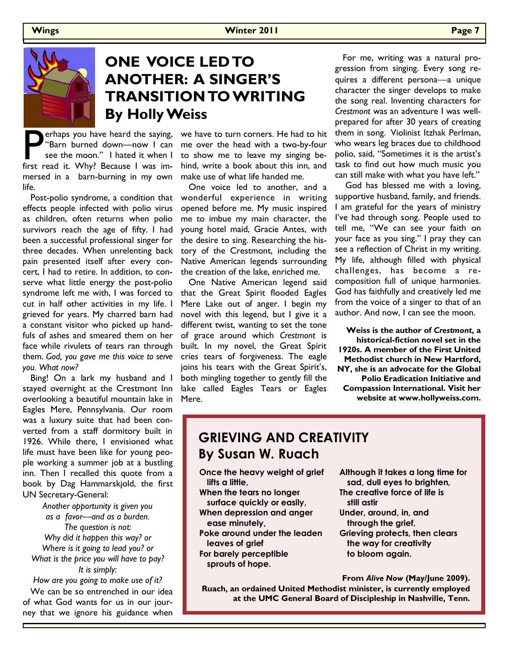

## **ONE VOICE LED TO ANOTHER: A SINGER'S TRANSITION TO WRITING By Holly Weiss**

**P** erhaps you have heard the saying,<br>
"Barn burned down—now I can<br>
see the moon." I hated it when I<br>
first read it. Why? Because I was im-"Barn burned down—now I can see the moon." I hated it when I mersed in a barn-burning in my own life.

 Post-polio syndrome, a condition that effects people infected with polio virus as children, often returns when polio survivors reach the age of fifty. I had been a successful professional singer for three decades. When unrelenting back pain presented itself after every concert, I had to retire. In addition, to conserve what little energy the post-polio syndrome left me with, I was forced to cut in half other activities in my life. I grieved for years. My charred barn had a constant visitor who picked up handfuls of ashes and smeared them on her face while rivulets of tears ran through them. *God, you gave me this voice to serve you. What now?*

 Bing! On a lark my husband and I stayed overnight at the Crestmont Inn overlooking a beautiful mountain lake in Eagles Mere, Pennsylvania. Our room was a luxury suite that had been converted from a staff dormitory built in 1926. While there, I envisioned what life must have been like for young people working a summer job at a bustling inn. Then I recalled this quote from a book by Dag Hammarskjold, the first UN Secretary-General:

*Another opportunity is given you as a favor—and as a burden. The question is not: Why did it happen this way? or Where is it going to lead you? or What is the price you will have to pay? It is simply:* 

*How are you going to make use of it?*  We can be so entrenched in our idea of what God wants for us in our journey that we ignore his guidance when we have to turn corners. He had to hit me over the head with a two-by-four to show me to leave my singing behind, write a book about this inn, and make use of what life handed me.

 One voice led to another, and a wonderful experience in writing opened before me. My music inspired me to imbue my main character, the young hotel maid, Gracie Antes, with the desire to sing. Researching the history of the Crestmont, including the Native American legends surrounding the creation of the lake, enriched me.

 One Native American legend said that the Great Spirit flooded Eagles Mere Lake out of anger. I begin my novel with this legend, but I give it a different twist, wanting to set the tone of grace around which *Crestmont* is built. In my novel, the Great Spirit cries tears of forgiveness. The eagle joins his tears with the Great Spirit's, both mingling together to gently fill the lake called Eagles Tears or Eagles Mere.

 For me, writing was a natural progression from singing. Every song requires a different persona—a unique character the singer develops to make the song real. Inventing characters for *Crestmont* was an adventure I was wellprepared for after 30 years of creating them in song. Violinist Itzhak Perlman, who wears leg braces due to childhood polio, said, "Sometimes it is the artist's task to find out how much music you can still make with what you have left."

 God has blessed me with a loving, supportive husband, family, and friends. I am grateful for the years of ministry I've had through song. People used to tell me, "We can see your faith on your face as you sing." I pray they can see a reflection of Christ in my writing. My life, although filled with physical challenges, has become a recomposition full of unique harmonies. God has faithfully and creatively led me from the voice of a singer to that of an author. And now, I can see the moon.

**Weiss is the author of** *Crestmont***, a historical-fiction novel set in the 1920s. A member of the First United Methodist church in New Hartford, NY, she is an advocate for the Global Polio Eradication Initiative and Compassion International. Visit her website at www.hollyweiss.com.**

### **GRIEVING AND CREATIVITY By Susan W. Ruach**

- **Once the heavy weight of grief lifts a little,**
- **When the tears no longer surface quickly or easily,**
- **When depression and anger ease minutely,**
- **Poke around under the leaden leaves of grief**
- **For barely perceptible sprouts of hope.**

**Although it takes a long time for sad, dull eyes to brighten, The creative force of life is still astir Under, around, in, and through the grief. Grieving protects, then clears the way for creativity** 

 **to bloom again.** 

**From** *Alive Now* **(May/June 2009).** 

**Ruach, an ordained United Methodist minister, is currently employed at the UMC General Board of Discipleship in Nashville, Tenn.**